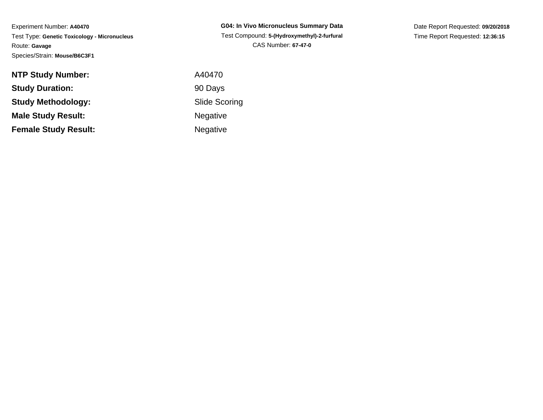Experiment Number: **A40470** Test Type: **Genetic Toxicology - Micronucleus**Route: **Gavage**Species/Strain: **Mouse/B6C3F1**

| G04: In Vivo Micronucleus Summarv Data      |
|---------------------------------------------|
| Test Compound: 5-(Hydroxymethyl)-2-furfural |
| <b>CAS Number: 67-47-0</b>                  |

Date Report Requested: **09/20/2018**Time Report Requested: **12:36:15**

| <b>NTP Study Number:</b>    | A40470               |
|-----------------------------|----------------------|
| <b>Study Duration:</b>      | 90 Days              |
| Study Methodology:          | <b>Slide Scoring</b> |
| <b>Male Study Result:</b>   | <b>Negative</b>      |
| <b>Female Study Result:</b> | <b>Negative</b>      |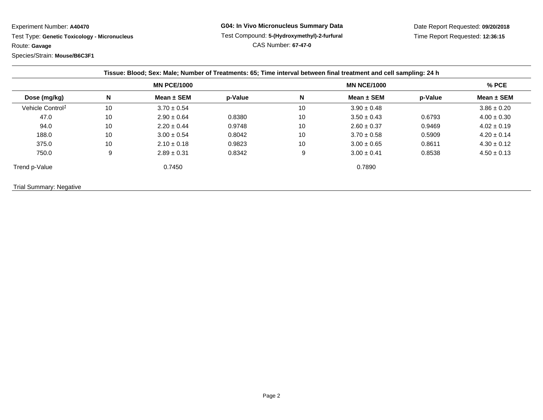Experiment Number: **A40470**

 Test Type: **Genetic Toxicology - Micronucleus**Route: **Gavage**

Species/Strain: **Mouse/B6C3F1**

Date Report Requested: **09/20/2018**Time Report Requested: **12:36:15**

|                              |    | <b>MN PCE/1000</b> |         |    | <b>MN NCE/1000</b> |         | $%$ PCE         |
|------------------------------|----|--------------------|---------|----|--------------------|---------|-----------------|
| Dose (mg/kg)                 | N  | Mean $\pm$ SEM     | p-Value | N  | Mean $\pm$ SEM     | p-Value | Mean $\pm$ SEM  |
| Vehicle Control <sup>1</sup> | 10 | $3.70 \pm 0.54$    |         | 10 | $3.90 \pm 0.48$    |         | $3.86 \pm 0.20$ |
| 47.0                         | 10 | $2.90 \pm 0.64$    | 0.8380  | 10 | $3.50 \pm 0.43$    | 0.6793  | $4.00 \pm 0.30$ |
| 94.0                         | 10 | $2.20 \pm 0.44$    | 0.9748  | 10 | $2.60 \pm 0.37$    | 0.9469  | $4.02 \pm 0.19$ |
| 188.0                        | 10 | $3.00 \pm 0.54$    | 0.8042  | 10 | $3.70 \pm 0.58$    | 0.5909  | $4.20 \pm 0.14$ |
| 375.0                        | 10 | $2.10 \pm 0.18$    | 0.9823  | 10 | $3.00 \pm 0.65$    | 0.8611  | $4.30 \pm 0.12$ |
| 750.0                        | 9  | $2.89 \pm 0.31$    | 0.8342  | 9  | $3.00 \pm 0.41$    | 0.8538  | $4.50 \pm 0.13$ |
| Trend p-Value                |    | 0.7450             |         |    | 0.7890             |         |                 |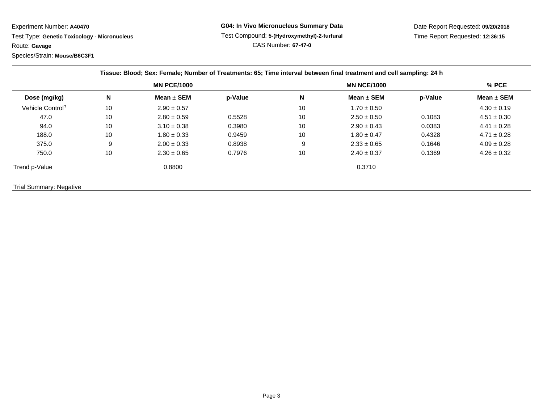Experiment Number: **A40470**

 Test Type: **Genetic Toxicology - Micronucleus**Route: **Gavage**

Species/Strain: **Mouse/B6C3F1**

**G04: In Vivo Micronucleus Summary Data** Test Compound: **5-(Hydroxymethyl)-2-furfural**CAS Number: **67-47-0**

Date Report Requested: **09/20/2018**Time Report Requested: **12:36:15**

|                              |    | Tissue: Blood; Sex: Female; Number of Treatments: 65; Time interval between final treatment and cell sampling: 24 h |         |    |                    |         |                 |
|------------------------------|----|---------------------------------------------------------------------------------------------------------------------|---------|----|--------------------|---------|-----------------|
|                              |    | <b>MN PCE/1000</b>                                                                                                  |         |    | <b>MN NCE/1000</b> |         | $%$ PCE         |
| Dose (mg/kg)                 | N  | Mean $\pm$ SEM                                                                                                      | p-Value | N  | Mean $\pm$ SEM     | p-Value | Mean $\pm$ SEM  |
| Vehicle Control <sup>1</sup> | 10 | $2.90 \pm 0.57$                                                                                                     |         | 10 | $1.70 \pm 0.50$    |         | $4.30 \pm 0.19$ |
| 47.0                         | 10 | $2.80 \pm 0.59$                                                                                                     | 0.5528  | 10 | $2.50 \pm 0.50$    | 0.1083  | $4.51 \pm 0.30$ |
| 94.0                         | 10 | $3.10 \pm 0.38$                                                                                                     | 0.3980  | 10 | $2.90 \pm 0.43$    | 0.0383  | $4.41 \pm 0.28$ |
| 188.0                        | 10 | $1.80 \pm 0.33$                                                                                                     | 0.9459  | 10 | $1.80 \pm 0.47$    | 0.4328  | $4.71 \pm 0.28$ |
| 375.0                        | 9  | $2.00 \pm 0.33$                                                                                                     | 0.8938  | 9  | $2.33 \pm 0.65$    | 0.1646  | $4.09 \pm 0.28$ |
| 750.0                        | 10 | $2.30 \pm 0.65$                                                                                                     | 0.7976  | 10 | $2.40 \pm 0.37$    | 0.1369  | $4.26 \pm 0.32$ |
|                              |    | 0.8800                                                                                                              |         |    | 0.3710             |         |                 |
| Trend p-Value                |    |                                                                                                                     |         |    |                    |         |                 |

Trial Summary: Negative